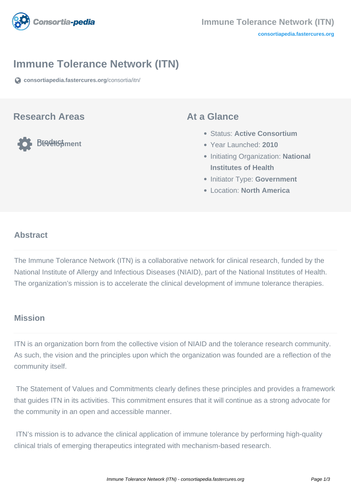

### **Immune Tolerance Network (ITN)**

**[consortiapedia.fastercures.org](https://consortiapedia.fastercures.org/consortia/itn/)**[/consortia/itn/](https://consortiapedia.fastercures.org/consortia/itn/)

#### **Research Areas**

**Product Development**

#### **At a Glance**

- Status: **Active Consortium**
- Year Launched: **2010**
- **Initiating Organization: National Institutes of Health**
- **Initiator Type: Government**
- Location: **North America**

#### $\overline{a}$ **Abstract**

The Immune Tolerance Network (ITN) is a collaborative network for clinical research, funded by the National Institute of Allergy and Infectious Diseases (NIAID), part of the National Institutes of Health. The organization's mission is to accelerate the clinical development of immune tolerance therapies.

### **Mission**

ITN is an organization born from the collective vision of NIAID and the tolerance research community. As such, the vision and the principles upon which the organization was founded are a reflection of the community itself.

 The Statement of Values and Commitments clearly defines these principles and provides a framework that guides ITN in its activities. This commitment ensures that it will continue as a strong advocate for the community in an open and accessible manner.

 ITN's mission is to advance the clinical application of immune tolerance by performing high-quality clinical trials of emerging therapeutics integrated with mechanism-based research.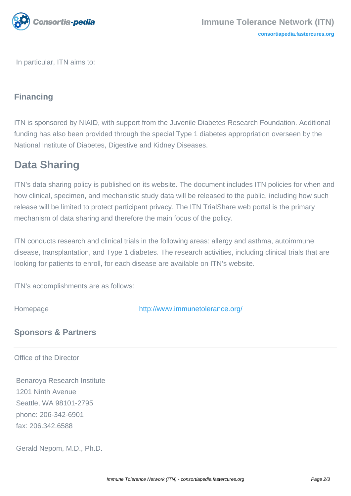

In particular, ITN aims to:

# **Financing**

ITN is sponsored by NIAID, with support from the Juvenile Diabetes Research Foundation. Additional funding has also been provided through the special Type 1 diabetes appropriation overseen by the National Institute of Diabetes, Digestive and Kidney Diseases.

### **Data Sharing**

ITN's data sharing policy is published on its website. The document includes ITN policies for when and how clinical, specimen, and mechanistic study data will be released to the public, including how such release will be limited to protect participant privacy. The ITN TrialShare web portal is the primary mechanism of data sharing and therefore the main focus of the policy.

ITN conducts research and clinical trials in the following areas: allergy and asthma, autoimmune disease, transplantation, and Type 1 diabetes. The research activities, including clinical trials that are looking for patients to enroll, for each disease are available on ITN's website.

ITN's accomplishments are as follows:

Homepage <http://www.immunetolerance.org/>

# **Sponsors & Partners**

Office of the Director

 Benaroya Research Institute 1201 Ninth Avenue Seattle, WA 98101-2795 phone: 206-342-6901 fax: 206.342.6588

Gerald Nepom, M.D., Ph.D.